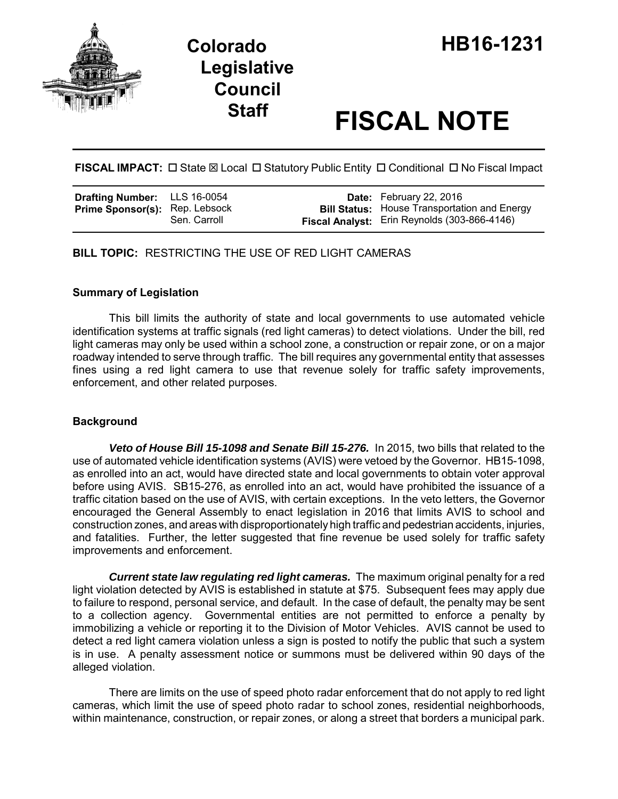

# **Staff FISCAL NOTE**

FISCAL IMPACT:  $\Box$  State  $\boxtimes$  Local  $\Box$  Statutory Public Entity  $\Box$  Conditional  $\Box$  No Fiscal Impact

| <b>Drafting Number:</b> LLS 16-0054   |              | <b>Date:</b> February 22, 2016                                                                             |
|---------------------------------------|--------------|------------------------------------------------------------------------------------------------------------|
| <b>Prime Sponsor(s): Rep. Lebsock</b> | Sen. Carroll | <b>Bill Status:</b> House Transportation and Energy<br><b>Fiscal Analyst:</b> Erin Reynolds (303-866-4146) |

**BILL TOPIC:** RESTRICTING THE USE OF RED LIGHT CAMERAS

# **Summary of Legislation**

This bill limits the authority of state and local governments to use automated vehicle identification systems at traffic signals (red light cameras) to detect violations. Under the bill, red light cameras may only be used within a school zone, a construction or repair zone, or on a major roadway intended to serve through traffic. The bill requires any governmental entity that assesses fines using a red light camera to use that revenue solely for traffic safety improvements, enforcement, and other related purposes.

# **Background**

**Veto of House Bill 15-1098 and Senate Bill 15-276.** In 2015, two bills that related to the use of automated vehicle identification systems (AVIS) were vetoed by the Governor. HB15-1098, as enrolled into an act, would have directed state and local governments to obtain voter approval before using AVIS. SB15-276, as enrolled into an act, would have prohibited the issuance of a traffic citation based on the use of AVIS, with certain exceptions. In the veto letters, the Governor encouraged the General Assembly to enact legislation in 2016 that limits AVIS to school and construction zones, and areas with disproportionately high traffic and pedestrian accidents, injuries, and fatalities. Further, the letter suggested that fine revenue be used solely for traffic safety improvements and enforcement.

*Current state law regulating red light cameras.* The maximum original penalty for a red light violation detected by AVIS is established in statute at \$75. Subsequent fees may apply due to failure to respond, personal service, and default. In the case of default, the penalty may be sent to a collection agency. Governmental entities are not permitted to enforce a penalty by immobilizing a vehicle or reporting it to the Division of Motor Vehicles. AVIS cannot be used to detect a red light camera violation unless a sign is posted to notify the public that such a system is in use. A penalty assessment notice or summons must be delivered within 90 days of the alleged violation.

There are limits on the use of speed photo radar enforcement that do not apply to red light cameras, which limit the use of speed photo radar to school zones, residential neighborhoods, within maintenance, construction, or repair zones, or along a street that borders a municipal park.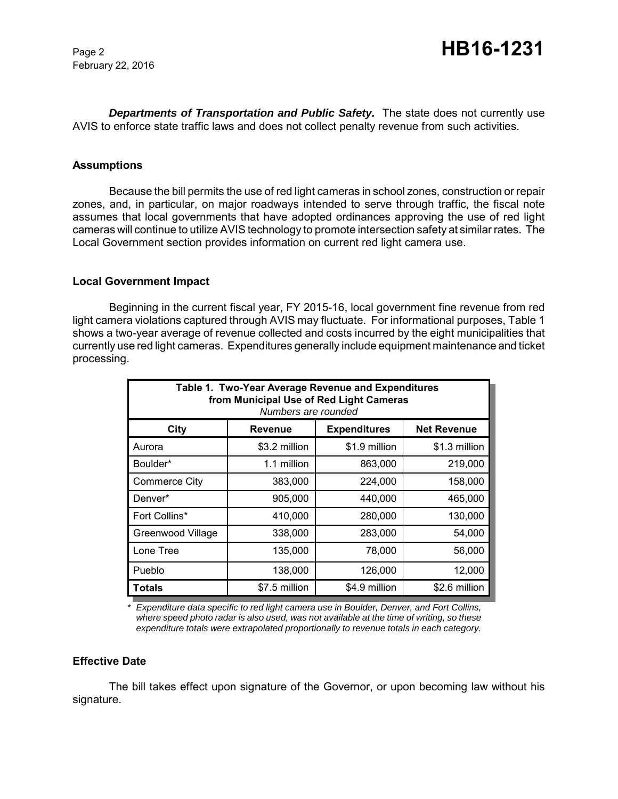February 22, 2016

*Departments of Transportation and Public Safety.* The state does not currently use AVIS to enforce state traffic laws and does not collect penalty revenue from such activities.

#### **Assumptions**

Because the bill permits the use of red light cameras in school zones, construction or repair zones, and, in particular, on major roadways intended to serve through traffic, the fiscal note assumes that local governments that have adopted ordinances approving the use of red light cameras will continue to utilize AVIS technology to promote intersection safety at similar rates. The Local Government section provides information on current red light camera use.

#### **Local Government Impact**

Beginning in the current fiscal year, FY 2015-16, local government fine revenue from red light camera violations captured through AVIS may fluctuate. For informational purposes, Table 1 shows a two-year average of revenue collected and costs incurred by the eight municipalities that currently use red light cameras. Expenditures generally include equipment maintenance and ticket processing.

| Table 1. Two-Year Average Revenue and Expenditures<br>from Municipal Use of Red Light Cameras<br>Numbers are rounded |                |                     |                    |  |  |
|----------------------------------------------------------------------------------------------------------------------|----------------|---------------------|--------------------|--|--|
| City                                                                                                                 | <b>Revenue</b> | <b>Expenditures</b> | <b>Net Revenue</b> |  |  |
| Aurora                                                                                                               | \$3.2 million  | \$1.9 million       | \$1.3 million      |  |  |
| Boulder*                                                                                                             | 1.1 million    | 863,000             | 219,000            |  |  |
| <b>Commerce City</b>                                                                                                 | 383,000        | 224,000             | 158,000            |  |  |
| Denver*                                                                                                              | 905,000        | 440,000             | 465,000            |  |  |
| Fort Collins*                                                                                                        | 410,000        | 280,000             | 130,000            |  |  |
| Greenwood Village                                                                                                    | 338,000        | 283,000             | 54,000             |  |  |
| Lone Tree                                                                                                            | 135,000        | 78,000              | 56,000             |  |  |
| Pueblo                                                                                                               | 138,000        | 126,000             | 12,000             |  |  |
| Totals                                                                                                               | \$7.5 million  | \$4.9 million       | \$2.6 million      |  |  |

*\* Expenditure data specific to red light camera use in Boulder, Denver, and Fort Collins, where speed photo radar is also used, was not available at the time of writing, so these expenditure totals were extrapolated proportionally to revenue totals in each category.*

#### **Effective Date**

The bill takes effect upon signature of the Governor, or upon becoming law without his signature.